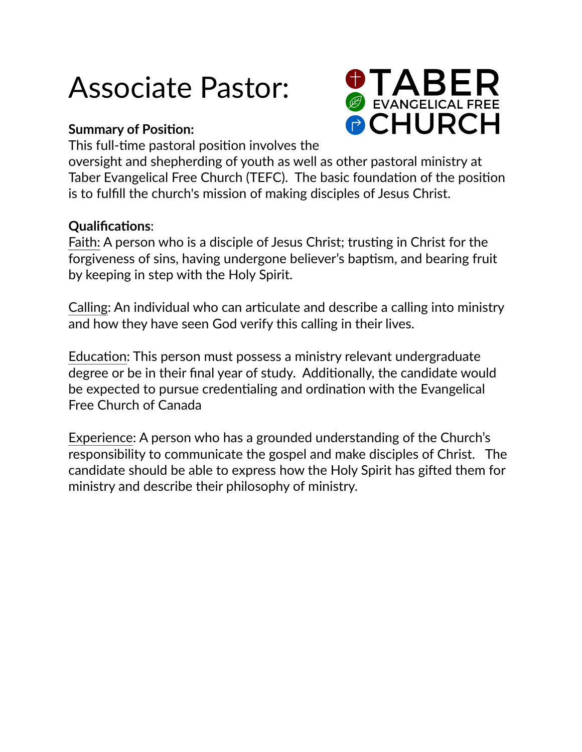# Associate Pastor:

## **Summary of Position:**

**O TABER PCHURCH** 

This full-time pastoral position involves the

oversight and shepherding of youth as well as other pastoral ministry at Taber Evangelical Free Church (TEFC). The basic foundation of the position is to fulfill the church's mission of making disciples of Jesus Christ.

## **Qualifications**:

Faith: A person who is a disciple of Jesus Christ; trusting in Christ for the forgiveness of sins, having undergone believer's baptism, and bearing fruit by keeping in step with the Holy Spirit.

Calling: An individual who can articulate and describe a calling into ministry and how they have seen God verify this calling in their lives.

Education: This person must possess a ministry relevant undergraduate degree or be in their final year of study. Additionally, the candidate would be expected to pursue credentialing and ordination with the Evangelical Free Church of Canada

Experience: A person who has a grounded understanding of the Church's responsibility to communicate the gospel and make disciples of Christ. The candidate should be able to express how the Holy Spirit has gifted them for ministry and describe their philosophy of ministry.